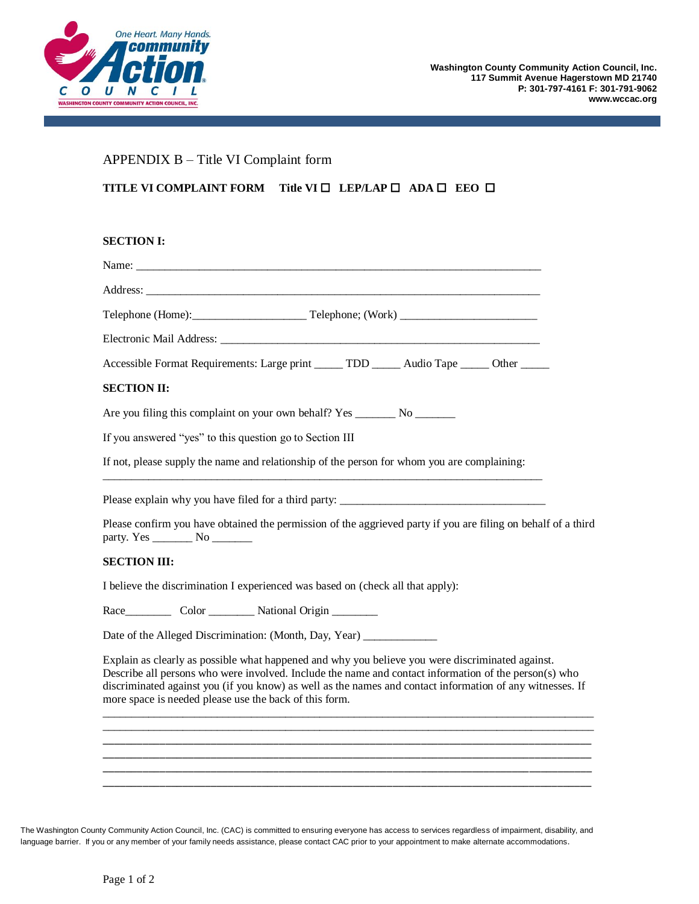

# APPENDIX B – Title VI Complaint form

## **TITLE VI COMPLAINT FORM Title VI □ LEP/LAP □ ADA □ EEO □**

### **SECTION I:**

| Accessible Format Requirements: Large print _____ TDD _____ Audio Tape _____ Other _____                                                                                                                                                                                                                                                                                         |
|----------------------------------------------------------------------------------------------------------------------------------------------------------------------------------------------------------------------------------------------------------------------------------------------------------------------------------------------------------------------------------|
| <b>SECTION II:</b>                                                                                                                                                                                                                                                                                                                                                               |
|                                                                                                                                                                                                                                                                                                                                                                                  |
| If you answered "yes" to this question go to Section III                                                                                                                                                                                                                                                                                                                         |
| If not, please supply the name and relationship of the person for whom you are complaining:                                                                                                                                                                                                                                                                                      |
| Please explain why you have filed for a third party: ____________________________                                                                                                                                                                                                                                                                                                |
| Please confirm you have obtained the permission of the aggrieved party if you are filing on behalf of a third                                                                                                                                                                                                                                                                    |
| <b>SECTION III:</b>                                                                                                                                                                                                                                                                                                                                                              |
| I believe the discrimination I experienced was based on (check all that apply):                                                                                                                                                                                                                                                                                                  |
|                                                                                                                                                                                                                                                                                                                                                                                  |
| Date of the Alleged Discrimination: (Month, Day, Year) _____________                                                                                                                                                                                                                                                                                                             |
| Explain as clearly as possible what happened and why you believe you were discriminated against.<br>Describe all persons who were involved. Include the name and contact information of the person(s) who<br>discriminated against you (if you know) as well as the names and contact information of any witnesses. If<br>more space is needed please use the back of this form. |
|                                                                                                                                                                                                                                                                                                                                                                                  |
|                                                                                                                                                                                                                                                                                                                                                                                  |
|                                                                                                                                                                                                                                                                                                                                                                                  |
|                                                                                                                                                                                                                                                                                                                                                                                  |

The Washington County Community Action Council, Inc. (CAC) is committed to ensuring everyone has access to services regardless of impairment, disability, and language barrier. If you or any member of your family needs assistance, please contact CAC prior to your appointment to make alternate accommodations.